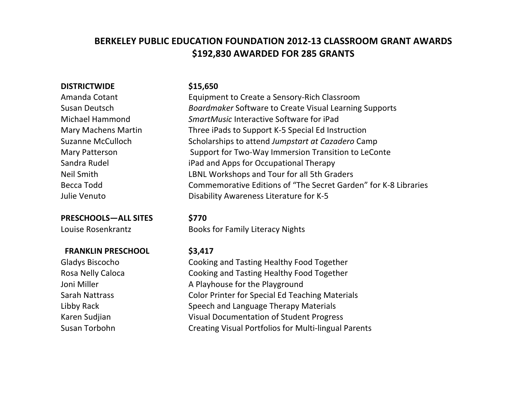# BERKELEY PUBLIC EDUCATION FOUNDATION 2012-13 CLASSROOM GRANT AWARDS **\$192,830'AWARDED FOR'285'GRANTS**

## **DISTRICTWIDE**

Amanda&Cotant

**PRESCHOOLS—ALL'SITES \$770**

### &&**FRANKLIN'PRESCHOOL \$3,417**

### **\$15,650**

Equipment to Create a Sensory-Rich Classroom Susan Deutsch **Boardmaker** Software to Create Visual Learning Supports Michael&Hammond *SmartMusic* Interactive&Software&for&iPad Mary Machens Martin Three iPads to Support K-5 Special Ed Instruction Suzanne McCulloch Scholarships to attend *Jumpstart at Cazadero* Camp Mary Patterson Support for Two-Way Immersion Transition to LeConte Sandra Rudel **iPad** and Apps for Occupational Therapy Neil Smith LBNL Workshops and Tour for all 5th Graders Becca Todd Commemorative Editions of "The Secret Garden" for K-8 Libraries Julie Venuto **Disability Awareness Literature for K-5** 

Louise Rosenkrantz **Books** for Family Literacy Nights

Gladys Biscocho Cooking and Tasting Healthy Food Together Rosa Nelly Caloca Cooking and Tasting Healthy Food Together Joni Miller A Playhouse for the Playground Sarah Nattrass Color Printer for Special Ed Teaching Materials Libby Rack Speech and Language Therapy Materials Karen Sudjian Visual Documentation of Student Progress Susan Torbohn **Creating Visual Portfolios for Multi-lingual Parents**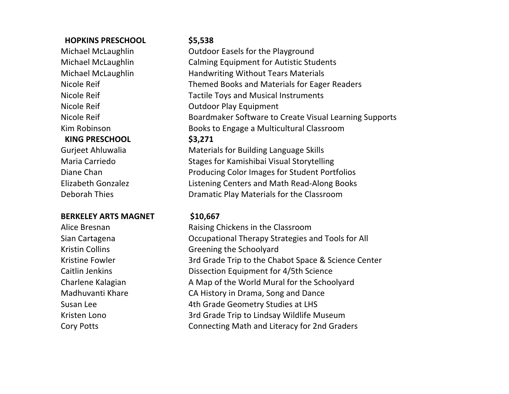# &&**HOPKINS'PRESCHOOL \$5,538**

&&**KING'PRESCHOOL \$3,271**

### **BERKELEY'ARTS'MAGNET \$10,667**

Michael McLaughlin **Outdoor Easels for the Playground** Michael McLaughlin Calming Equipment for Autistic Students Michael McLaughlin **Handwriting Without Tears Materials** Nicole Reif Themed Books and Materials for Eager Readers Nicole Reif Tactile Toys and Musical Instruments Nicole Reif **Nicole Reif COULD Outdoor Play Equipment** Nicole Reif **Boardmaker Software to Create Visual Learning Supports** Kim Robinson **Books to Engage a Multicultural Classroom** 

Gurjeet Ahluwalia Materials for Building Language Skills Maria Carriedo Stages for Kamishibai Visual Storytelling Diane Chan **Producing Color Images for Student Portfolios** Elizabeth Gonzalez **Listening Centers and Math Read-Along Books** Deborah Thies Dramatic Play Materials for the Classroom

Alice Bresnan **Raising Chickens** in the Classroom Sian Cartagena **Carrior Cartagena** Occupational Therapy Strategies and Tools for All Kristin Collins Greening the Schoolyard Kristine Fowler 3rd Grade Trip to the Chabot Space & Science Center Caitlin Jenkins **Dissection Equipment for 4/5th Science** Charlene Kalagian **A** Map of the World Mural for the Schoolyard Madhuvanti Khare CA History in Drama, Song and Dance Susan Lee 4th Grade Geometry Studies at LHS Kristen Lono 3rd Grade Trip to Lindsay Wildlife Museum Cory Potts Connecting Math and Literacy for 2nd Graders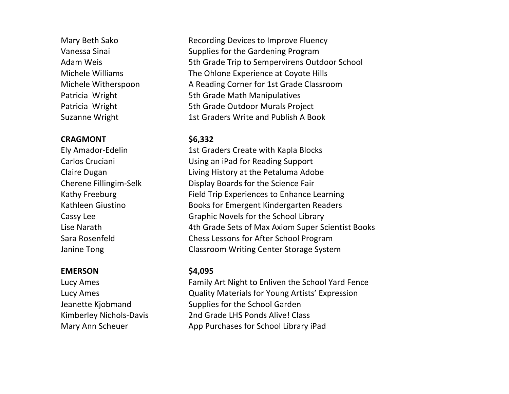# **CRAGMONT \$6,332**

# **EMERSON \$4,095**

Mary Beth Sako Recording Devices to Improve Fluency Vanessa Sinai Supplies for the Gardening Program Adam Weis 6th Grade Trip to Sempervirens Outdoor School Michele Williams The Ohlone Experience at Coyote Hills Michele Witherspoon A Reading Corner for 1st Grade Classroom Patricia Wright 5th Grade Math Manipulatives Patricia Wright 5th Grade Outdoor Murals Project Suzanne Wright 1st Graders Write and Publish A Book

Ely Amador-Edelin 1st Graders Create with Kapla Blocks Carlos Cruciani **Lating Cruciani** Using an iPad for Reading Support Claire Dugan **Living History** at the Petaluma Adobe Cherene Fillingim-Selk Display Boards for the Science Fair Kathy Freeburg Field Trip Experiences to Enhance Learning Kathleen Giustino Books for Emergent Kindergarten Readers Cassy Lee Graphic Novels for the School Library Lise Narath 1.1 and 4th Grade Sets of Max Axiom Super Scientist Books Sara Rosenfeld Chess Lessons for After School Program Janine Tong Classroom Writing Center Storage System

Lucy Ames Family Art Night to Enliven the School Yard Fence Lucy Ames **Lucy Ames Cuality Materials for Young Artists' Expression** Jeanette Kiobmand Supplies for the School Garden Kimberley Nichols-Davis 2nd Grade LHS Ponds Alive! Class Mary Ann Scheuer **App Purchases for School Library iPad**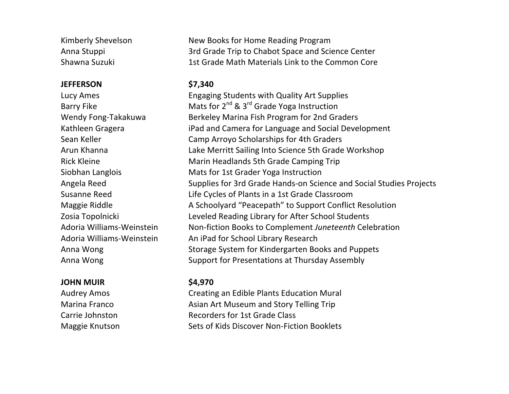# **JEFFERSON \$7,340**

# **JOHN'MUIR \$4,970**

Kimberly Shevelson New Books for Home Reading Program Anna Stuppi 3rd Grade Trip to Chabot Space and Science Center Shawna Suzuki 1st Grade Math Materials Link to the Common Core

Lucy Ames **Engaging Students with Quality Art Supplies** Barry Fike Mats for  $2^{nd}$  &  $3^{rd}$  Grade Yoga Instruction Wendy Fong-Takakuwa Berkeley Marina Fish Program for 2nd Graders Kathleen Gragera **iPad** and Camera for Language and Social Development Sean Keller Camp Arroyo Scholarships for 4th Graders Arun Khanna **Lake Merritt Sailing Into Science 5th Grade Workshop** Rick Kleine Marin Headlands 5th Grade Camping Trip Siobhan Langlois Mats for 1st Grader Yoga Instruction Angela Reed Supplies for 3rd Grade Hands-on Science and Social Studies Projects Susanne Reed Life Cycles of Plants in a 1st Grade Classroom Maggie Riddle A&Schoolyard "Peacepath" to Support Conflict Resolution Zosia Topolnicki Leveled Reading Library for After School Students Adoria Williams-Weinstein Non-fiction Books to Complement Juneteenth Celebration Adoria Williams-Weinstein An iPad for School Library Research Anna Wong Storage System for Kindergarten Books and Puppets Anna Wong Support for Presentations at Thursday Assembly

Audrey Amos Creating an Edible Plants Education Mural Marina Franco **Asian Art Museum and Story Telling Trip** Carrie Johnston **Recorders** For 1st Grade Class Maggie Knutson Sets of Kids Discover Non-Fiction Booklets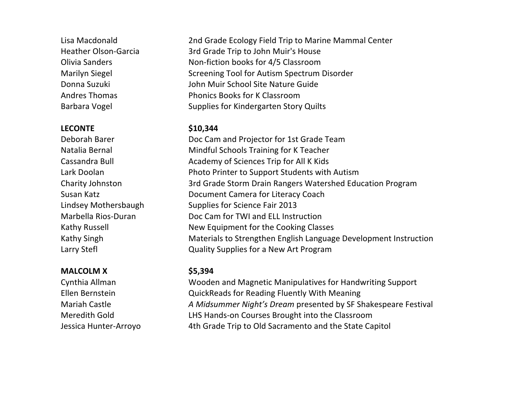# **LECONTE \$10,344**

# **MALCOLM'X \$5,394**

Lisa Macdonald 2nd Grade Ecology Field Trip to Marine Mammal Center Heather Olson-Garcia 3rd Grade Trip to John Muir's House Olivia Sanders Non-fiction books for 4/5 Classroom Marilyn Siegel Screening Tool for Autism Spectrum Disorder Donna&Suzuki John&Muir&School&Site&Nature&Guide Andres Thomas **Phonics Books** for K Classroom Barbara Vogel Supplies for Kindergarten Story Quilts

Deborah Barer Doc Cam and Projector for 1st Grade Team Natalia Bernal Mindful Schools Training for K Teacher Cassandra Bull **Cassandra** Bull **Academy of Sciences Trip for All K Kids** Lark Doolan **Photo Printer to Support Students with Autism** Charity Johnston 3rd Grade Storm Drain Rangers Watershed Education Program Susan Katz **Document Camera for Literacy Coach** Lindsey Mothersbaugh Supplies for Science Fair 2013 Marbella Rios-Duran Doc Cam for TWI and ELL Instruction Kathy Russell **Kathy** Russell New Equipment for the Cooking Classes Kathy Singh Materials to Strengthen English Language Development Instruction Larry Stefl **Larry Stefl** Cuality Supplies for a New Art Program

Cynthia Allman Wooden and Magnetic Manipulatives for Handwriting Support Ellen Bernstein **CuickReads** for Reading Fluently With Meaning Mariah Castle *A2Midsummer Night's Dream* presented by SF Shakespeare Festival Meredith Gold **LHS Hands-on Courses Brought into the Classroom** Jessica Hunter-Arroyo 4th Grade Trip to Old Sacramento and the State Capitol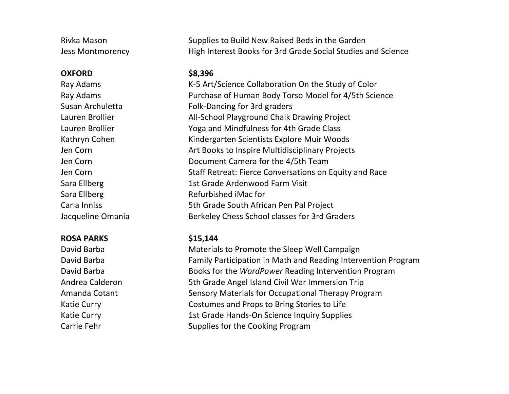### **OXFORD \$8,396**

### **ROSA'PARKS \$15,144**

Rivka Mason Supplies to Build New Raised Beds in the Garden Jess Montmorency **High Interest Books for 3rd Grade Social Studies and Science** 

Ray Adams K-5 Art/Science Collaboration On the Study of Color Ray Adams **Purchase of Human Body Torso Model for 4/5th Science** Susan Archuletta Folk-Dancing for 3rd graders Lauren Brollier **All-School Playground Chalk Drawing Project** Lauren Brollier The Yoga and Mindfulness for 4th Grade Class Kathryn Cohen Kindergarten Scientists Explore Muir Woods Jen Corn **Art Books to Inspire Multidisciplinary Projects** Jen Corn **Document Camera** for the 4/5th Team Jen Corn Staff Retreat: Fierce Conversations on Equity and Race Sara Ellberg 1st Grade Ardenwood Farm Visit Sara Ellberg Refurbished iMac for Carla&Inniss 5th&Grade&South&African&Pen&Pal&Project Jacqueline Omania Berkeley Chess School classes for 3rd Graders

David Barba Materials to Promote the Sleep Well Campaign David Barba Family Participation in Math and Reading Intervention Program David Barba **Books** for the *WordPower* Reading Intervention Program Andrea Calderon 5th Grade Angel Island Civil War Immersion Trip Amanda Cotant Sensory Materials for Occupational Therapy Program Katie Curry Costumes and Props to Bring Stories to Life Katie Curry 1st Grade Hands-On Science Inquiry Supplies Carrie Fehr Supplies for the Cooking Program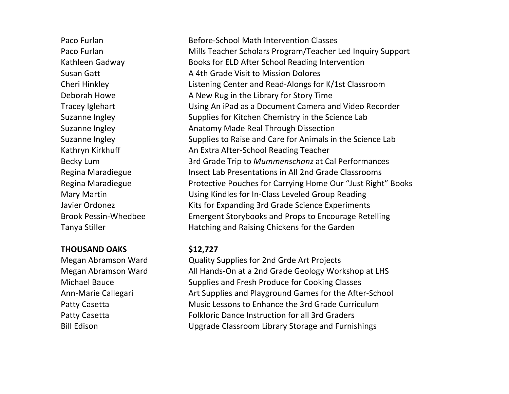# **THOUSAND'OAKS \$12,727**

Michael Bauce Ann-Marie Callegari

Paco Furlan **Before-School Math Intervention Classes** Paco Furlan Mills Teacher Scholars Program/Teacher Led Inquiry Support Kathleen Gadway Books for ELD After School Reading Intervention Susan Gatt **A** 4th Grade Visit to Mission Dolores Cheri Hinkley Listening Center and Read-Alongs for K/1st Classroom Deborah Howe **A** New Rug in the Library for Story Time Tracey Iglehart Using An iPad as a Document Camera and Video Recorder Suzanne Ingley Supplies for Kitchen Chemistry in the Science Lab Suzanne Ingley **Anatomy Made Real Through Dissection** Suzanne Ingley Supplies to Raise and Care for Animals in the Science Lab Kathryn Kirkhuff **An Extra After-School Reading Teacher** Becky Lum 3rd Grade Trip to *Mummenschanz* at Cal Performances Regina Maradiegue Insect Lab Presentations in All 2nd Grade Classrooms Regina Maradiegue **Protective Pouches for Carrying Home Our** "Just Right" Books Mary Martin **Martin Class Using Kindles for In-Class Leveled Group Reading** Javier Ordonez Kits for Expanding 3rd Grade Science Experiments Brook Pessin-Whedbee **Emergent Storybooks** and Props to Encourage Retelling Tanya Stiller **Hatching and Raising Chickens for the Garden** 

Megan Abramson Ward **Quality Supplies for 2nd Grde Art Projects** Megan Abramson Ward All Hands-On at a 2nd Grade Geology Workshop at LHS Supplies and Fresh Produce for Cooking Classes Art Supplies and Playground Games for the After-School Patty Casetta Music Lessons to Enhance the 3rd Grade Curriculum Patty Casetta Folkloric Dance Instruction for all 3rd Graders Bill Edison Upgrade Classroom Library Storage and Furnishings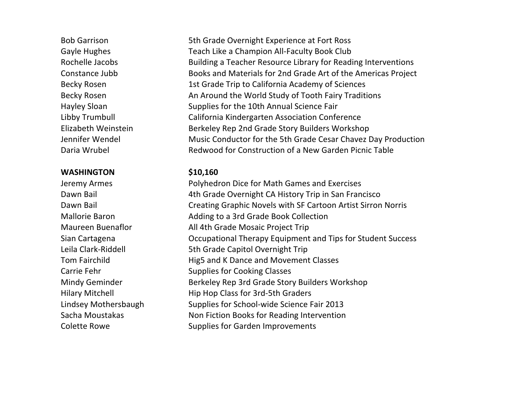### **WASHINGTON \$10,160**

Bob Garrison 5th Grade Overnight Experience at Fort Ross Gayle Hughes Teach Like a Champion All-Faculty Book Club Rochelle Jacobs Building a Teacher Resource Library for Reading Interventions Constance Jubb Books and Materials for 2nd Grade Art of the Americas Project Becky Rosen 1st Grade Trip to California Academy of Sciences Becky Rosen **An Around the World Study of Tooth Fairy Traditions** Hayley Sloan Supplies for the 10th Annual Science Fair Libby Trumbull **California Kindergarten Association Conference** Elizabeth Weinstein **Berkeley Rep 2nd Grade Story Builders Workshop** Jennifer Wendel Music Conductor for the 5th Grade Cesar Chavez Day Production Daria Wrubel **Redwood for Construction of a New Garden Picnic Table** 

Jeremy Armes **Polyhedron Dice for Math Games and Exercises** Dawn Bail **4th Grade Overnight CA History Trip in San Francisco** Dawn Bail **Creating Graphic Novels with SF Cartoon Artist Sirron Norris** Mallorie Baron **Mallorie** Baron **Adding to a 3rd Grade Book Collection** Maureen Buenaflor All 4th Grade Mosaic Project Trip Sian Cartagena **Carrior Contract Contract Careta** Occupational Therapy Equipment and Tips for Student Success Leila Clark-Riddell 5th Grade Capitol Overnight Trip Tom Fairchild **Hig5** and K Dance and Movement Classes Carrie Fehr Supplies for Cooking Classes Mindy Geminder Berkeley Rep 3rd Grade Story Builders Workshop Hilary Mitchell **Hip Hop Class for 3rd-5th Graders** Lindsey Mothersbaugh Supplies for School-wide Science Fair 2013 Sacha Moustakas Non Fiction Books for Reading Intervention Colette Rowe Supplies for Garden Improvements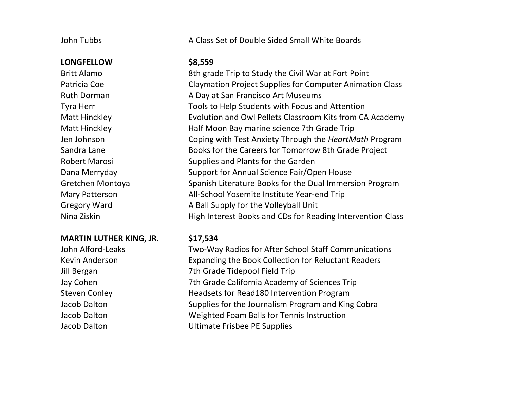### **LONGFELLOW \$8,559**

### **MARTIN LUTHER KING, JR.** \$17,534

John Tubbs **A** Class Set of Double Sided Small White Boards

Britt Alamo 8th grade Trip to Study the Civil War at Fort Point Patricia Coe Claymation Project Supplies for Computer Animation Class Ruth Dorman A Day at San Francisco Art Museums Tyra Herr Tools to Help Students with Focus and Attention Matt Hinckley **Evolution** and Owl Pellets Classroom Kits from CA Academy Matt Hinckley **Matt Hinckley** Half Moon Bay marine science 7th Grade Trip Jen Johnson **Coping with Test Anxiety Through the HeartMath Program** Sandra Lane Books for the Careers for Tomorrow 8th Grade Project Robert Marosi Supplies and Plants for the Garden Dana Merryday **Support for Annual Science Fair/Open House** Gretchen Montoya Spanish Literature Books for the Dual Immersion Program Mary Patterson All-School Yosemite Institute Year-end Trip Gregory Ward **A** Ball Supply for the Volleyball Unit Nina Ziskin **High Interest Books** and CDs for Reading Intervention Class

John Alford-Leaks Two-Way Radios for After School Staff Communications Kevin Anderson **Expanding the Book Collection for Reluctant Readers** Jill Bergan 7th Grade Tidepool Field Trip Jay Cohen 7th Grade California Academy of Sciences Trip Steven Conley **Headsets** for Read180 Intervention Program Jacob Dalton Supplies for the Journalism Program and King Cobra Jacob Dalton Weighted Foam Balls for Tennis Instruction Jacob Dalton Ultimate Frisbee PE Supplies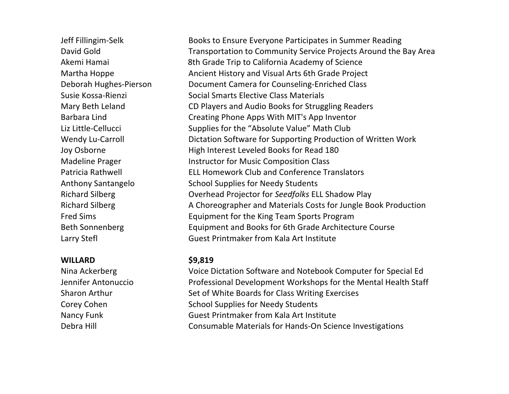### **WILLARD \$9,819**

Jeff Fillingim-Selk Books to Ensure Everyone Participates in Summer Reading David Gold Transportation to Community Service Projects Around the Bay Area Akemi Hamai 8th Grade Trip to California Academy of Science Martha Hoppe Ancient History and Visual Arts 6th Grade Project Deborah Hughes-Pierson Document Camera for Counseling-Enriched Class Susie Kossa-Rienzi Social Smarts Elective Class Materials Mary Beth Leland CD Players and Audio Books for Struggling Readers Barbara Lind Creating Phone Apps With MIT's App Inventor Liz Little-Cellucci Supplies for the "Absolute Value" Math Club Wendy Lu-Carroll **Dictation Software for Supporting Production of Written Work** Joy Osborne **High Interest Leveled Books** for Read 180 Madeline Prager **Instructor for Music Composition Class** Patricia Rathwell **ELL Homework Club and Conference Translators** Anthony Santangelo School Supplies for Needy Students Richard Silberg **Overhead Projector for Seedfolks ELL Shadow Play** Richard Silberg **A** Choreographer and Materials Costs for Jungle Book Production Fred Sims **Equipment for the King Team Sports Program** Beth Sonnenberg Equipment and Books for 6th Grade Architecture Course Larry Stefl Guest Printmaker from Kala Art Institute

Nina Ackerberg Voice Dictation Software and Notebook Computer for Special Ed Jennifer Antonuccio Professional Development Workshops for the Mental Health Staff Sharon Arthur Set of White Boards for Class Writing Exercises Corey Cohen School Supplies for Needy Students Nancy Funk Guest Printmaker from Kala Art Institute Debra Hill Consumable Materials for Hands-On Science Investigations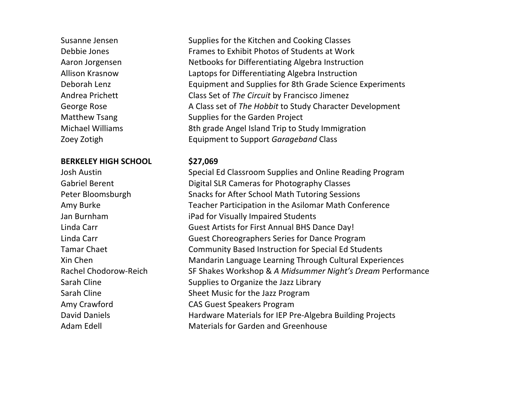## **BERKELEY'HIGH'SCHOOL \$27,069**

Susanne Jensen Supplies for the Kitchen and Cooking Classes Debbie Jones Frames to Exhibit Photos of Students at Work Aaron Jorgensen Netbooks for Differentiating Algebra Instruction Allison Krasnow Laptops for Differentiating Algebra Instruction Deborah Lenz Equipment and Supplies for 8th Grade Science Experiments Andrea Prichett Class Set of The Circuit by Francisco Jimenez George Rose **A** Class set of *The Hobbit* to Study Character Development Matthew Tsang Supplies for the Garden Project Michael Williams 8th grade Angel Island Trip to Study Immigration Zoey Zotigh **Equipment** to Support *Garageband* Class

Josh Austin Special Ed Classroom Supplies and Online Reading Program Gabriel Berent **Digital SLR Cameras for Photography Classes** Peter Bloomsburgh Snacks for After School Math Tutoring Sessions Amy Burke Teacher Participation in the Asilomar Math Conference Jan Burnham iPad for Visually Impaired Students Linda Carr Guest Artists for First Annual BHS Dance Day! Linda Carr Guest Choreographers Series for Dance Program Tamar Chaet Community Based Instruction for Special Ed Students Xin Chen Mandarin Language Learning Through Cultural Experiences Rachel Chodorow-Reich SF Shakes Workshop & *A Midsummer Night's Dream* Performance Sarah Cline Supplies to Organize the Jazz Library Sarah Cline Sheet Music for the Jazz Program Amy Crawford **CAS** Guest Speakers Program David Daniels **Hardware Materials for IEP Pre-Algebra Building Projects** Adam Edell **Materials** for Garden and Greenhouse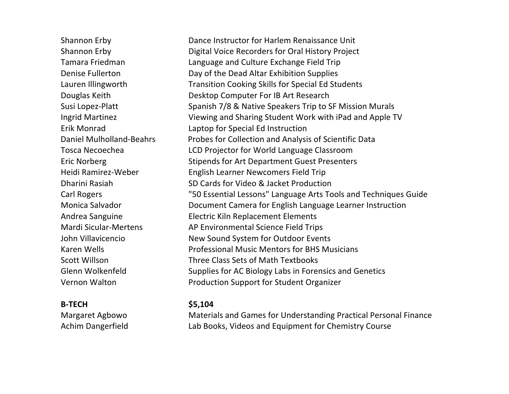Daniel Mulholland-Beahrs Tosca&Necoechea

**B5TECH \$5,104**

Shannon Erby Dance Instructor for Harlem Renaissance Unit Shannon Erby **Digital Voice Recorders for Oral History Project** Tamara Friedman **Language** and Culture Exchange Field Trip Denise Fullerton Day of the Dead Altar Exhibition Supplies Lauren Illingworth Transition Cooking Skills for Special Ed Students Douglas Keith **Desktop Computer For IB Art Research** Susi Lopez-Platt Spanish 7/8 & Native Speakers Trip to SF Mission Murals Ingrid Martinez Viewing and Sharing Student Work with iPad and Apple TV Erik Monrad Laptop for Special Ed Instruction Probes for Collection and Analysis of Scientific Data LCD Projector for World Language Classroom Eric Norberg Stipends for Art Department Guest Presenters Heidi Ramirez-Weber English Learner Newcomers Field Trip Dharini Rasiah SD Cards for Video & Jacket Production Carl Rogers "50 Essential Lessons" Language Arts Tools and Techniques Guide Monica Salvador **Document Camera for English Language Learner Instruction** Andrea Sanguine Electric Kiln Replacement Elements Mardi Sicular-Mertens AP Environmental Science Field Trips John Villavicencio New Sound System for Outdoor Events Karen Wells **Report Communist Professional Music Mentors for BHS Musicians** Scott Willson **Three Class Sets of Math Textbooks** Glenn Wolkenfeld Supplies for AC Biology Labs in Forensics and Genetics Vernon Walton **Production Support for Student Organizer** 

Margaret Agbowo Materials and Games for Understanding Practical Personal Finance Achim Dangerfield Lab Books, Videos and Equipment for Chemistry Course